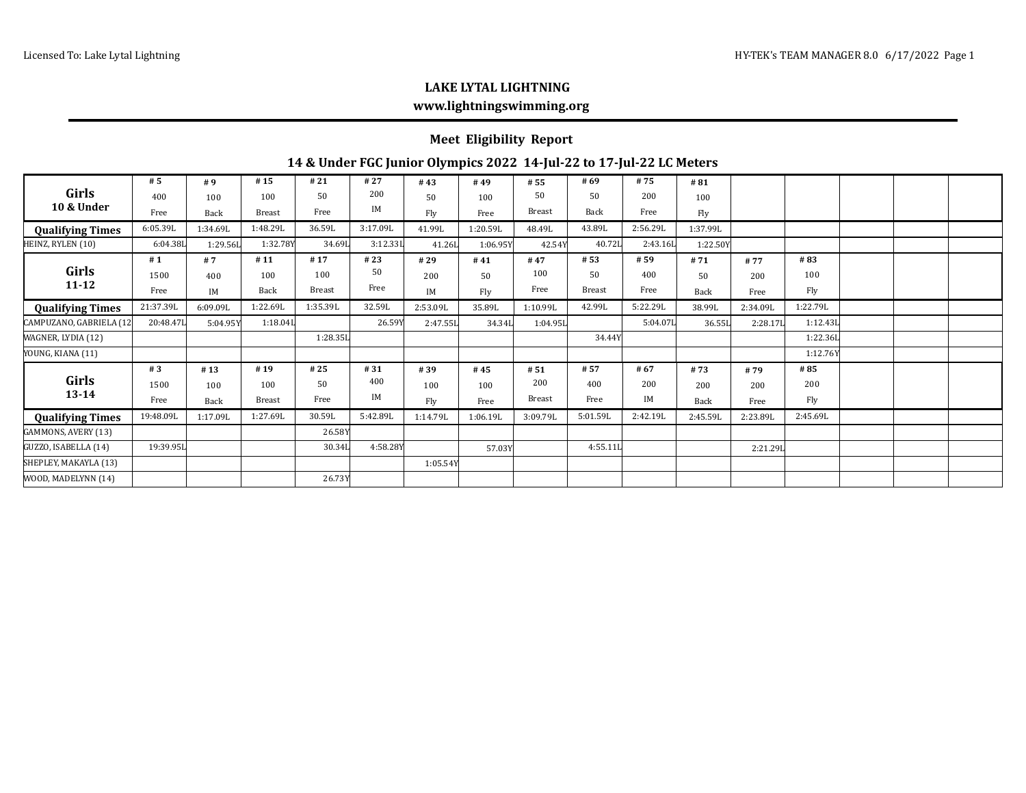# **LAKE LYTAL LIGHTNING www.lightningswimming.org**

#### **Meet Eligibility Report**

### **14 & Under FGC Junior Olympics 2022 14-Jul-22 to 17-Jul-22 LC Meters**

| Girls<br>10 & Under     | #5        | #9       | #15           | #21           | #27      | #43      | #49      | # 55          | #69           | #75      | #81      |          |          |  |  |
|-------------------------|-----------|----------|---------------|---------------|----------|----------|----------|---------------|---------------|----------|----------|----------|----------|--|--|
|                         | 400       | 100      | 100           | 50            | 200      | 50       | 100      | 50            | 50            | 200      | 100      |          |          |  |  |
|                         | Free      | Back     | <b>Breast</b> | Free          | IM       | Fly      | Free     | <b>Breast</b> | Back          | Free     | Fly      |          |          |  |  |
| <b>Qualifying Times</b> | 6:05.39L  | 1:34.69L | 1:48.29L      | 36.59L        | 3:17.09L | 41.99L   | 1:20.59L | 48.49L        | 43.89L        | 2:56.29L | 1:37.99L |          |          |  |  |
| HEINZ, RYLEN (10)       | 6:04.38L  | 1:29.56L | 1:32.78Y      | 34.69L        | 3:12.331 | 41.26L   | 1:06.95Y | 42.54Y        | 40.72L        | 2:43.16L | 1:22.50Y |          |          |  |  |
| Girls<br>$11 - 12$      | #1        | #7       | #11           | #17           | #23      | #29      | #41      | #47           | # 53          | # 59     | #71      | #77      | #83      |  |  |
|                         | 1500      | 400      | 100           | 100           | 50       | 200      | 50       | 100           | 50            | 400      | 50       | 200      | 100      |  |  |
|                         | Free      | IM       | Back          | <b>Breast</b> | Free     | IM       | Fly      | Free          | <b>Breast</b> | Free     | Back     | Free     | Fly      |  |  |
| <b>Qualifying Times</b> | 21:37.39L | 6:09.09L | 1:22.69L      | 1:35.39L      | 32.59L   | 2:53.09L | 35.89L   | 1:10.99L      | 42.99L        | 5:22.29L | 38.99L   | 2:34.09L | 1:22.79L |  |  |
| CAMPUZANO, GABRIELA (12 | 20:48.47L | 5:04.95Y | 1:18.04       |               | 26.59Y   | 2:47.55L | 34.34L   | 1:04.95L      |               | 5:04.07L | 36.55L   | 2:28.17L | 1:12.43L |  |  |
| WAGNER, LYDIA (12)      |           |          |               | 1:28.35L      |          |          |          |               | 34.44Y        |          |          |          | 1:22.361 |  |  |
| YOUNG, KIANA (11)       |           |          |               |               |          |          |          |               |               |          |          |          | 1:12.76Y |  |  |
| Girls<br>$13 - 14$      | #3        | #13      | #19           | #25           | #31      | #39      | #45      | #51           | #57           | # 67     | #73      | #79      | #85      |  |  |
|                         | 1500      | 100      | 100           | 50            | 400      | 100      | 100      | 200           | 400           | 200      | 200      | 200      | 200      |  |  |
|                         | Free      | Back     | <b>Breast</b> | Free          | IM       | Fly      | Free     | <b>Breast</b> | Free          | IM       | Back     | Free     | Fly      |  |  |
| <b>Qualifying Times</b> | 19:48.09L | 1:17.09L | 1:27.69L      | 30.59L        | 5:42.89L | 1:14.79L | 1:06.19L | 3:09.79L      | 5:01.59L      | 2:42.19L | 2:45.59L | 2:23.89L | 2:45.69L |  |  |
| GAMMONS, AVERY (13)     |           |          |               | 26.58Y        |          |          |          |               |               |          |          |          |          |  |  |
| GUZZO, ISABELLA (14)    | 19:39.95L |          |               | 30.34L        | 4:58.28Y |          | 57.03Y   |               | 4:55.11L      |          |          | 2:21.291 |          |  |  |
| SHEPLEY, MAKAYLA (13)   |           |          |               |               |          | 1:05.54Y |          |               |               |          |          |          |          |  |  |
| WOOD, MADELYNN (14)     |           |          |               | 26.73Y        |          |          |          |               |               |          |          |          |          |  |  |